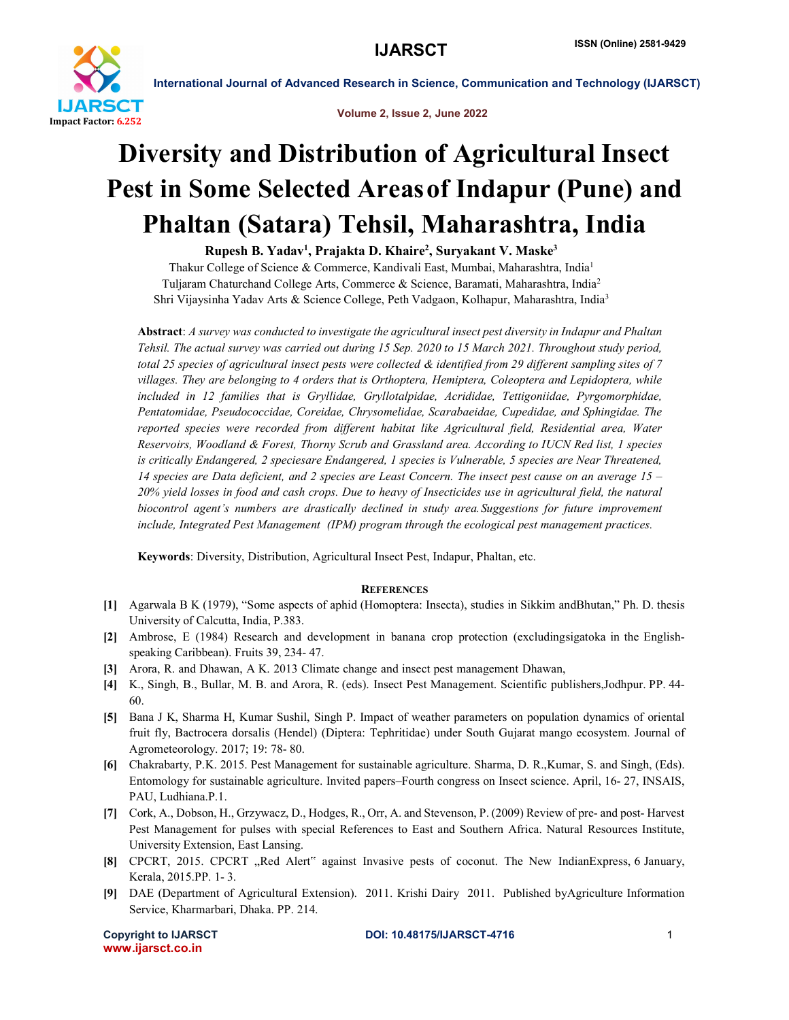

International Journal of Advanced Research in Science, Communication and Technology (IJARSCT)

Volume 2, Issue 2, June 2022

# Diversity and Distribution of Agricultural Insect Pest in Some Selected Areasof Indapur (Pune) and Phaltan (Satara) Tehsil, Maharashtra, India

Rupesh B. Yadav<sup>1</sup>, Prajakta D. Khaire<sup>2</sup>, Suryakant V. Maske<sup>3</sup>

Thakur College of Science & Commerce, Kandivali East, Mumbai, Maharashtra, India1 Tuljaram Chaturchand College Arts, Commerce & Science, Baramati, Maharashtra, India2 Shri Vijaysinha Yadav Arts & Science College, Peth Vadgaon, Kolhapur, Maharashtra, India3

Abstract: *A survey was conducted to investigate the agricultural insect pest diversity in Indapur and Phaltan Tehsil. The actual survey was carried out during 15 Sep. 2020 to 15 March 2021. Throughout study period, total 25 species of agricultural insect pests were collected & identified from 29 different sampling sites of 7 villages. They are belonging to 4 orders that is Orthoptera, Hemiptera, Coleoptera and Lepidoptera, while included in 12 families that is Gryllidae, Gryllotalpidae, Acrididae, Tettigoniidae, Pyrgomorphidae, Pentatomidae, Pseudococcidae, Coreidae, Chrysomelidae, Scarabaeidae, Cupedidae, and Sphingidae. The reported species were recorded from different habitat like Agricultural field, Residential area, Water Reservoirs, Woodland & Forest, Thorny Scrub and Grassland area. According to IUCN Red list, 1 species is critically Endangered, 2 speciesare Endangered, 1 species is Vulnerable, 5 species are Near Threatened, 14 species are Data deficient, and 2 species are Least Concern. The insect pest cause on an average 15 – 20% yield losses in food and cash crops. Due to heavy of Insecticides use in agricultural field, the natural biocontrol agent's numbers are drastically declined in study area.Suggestions for future improvement include, Integrated Pest Management (IPM) program through the ecological pest management practices.* 

Keywords: Diversity, Distribution, Agricultural Insect Pest, Indapur, Phaltan, etc.

### **REFERENCES**

- [1] Agarwala B K (1979), "Some aspects of aphid (Homoptera: Insecta), studies in Sikkim andBhutan," Ph. D. thesis University of Calcutta, India, P.383.
- [2] Ambrose, E (1984) Research and development in banana crop protection (excludingsigatoka in the Englishspeaking Caribbean). Fruits 39, 234- 47.
- [3] Arora, R. and Dhawan, A K. 2013 Climate change and insect pest management Dhawan,
- [4] K., Singh, B., Bullar, M. B. and Arora, R. (eds). Insect Pest Management. Scientific publishers,Jodhpur. PP. 44- 60.
- [5] Bana J K, Sharma H, Kumar Sushil, Singh P. Impact of weather parameters on population dynamics of oriental fruit fly, Bactrocera dorsalis (Hendel) (Diptera: Tephritidae) under South Gujarat mango ecosystem. Journal of Agrometeorology. 2017; 19: 78- 80.
- [6] Chakrabarty, P.K. 2015. Pest Management for sustainable agriculture. Sharma, D. R.,Kumar, S. and Singh, (Eds). Entomology for sustainable agriculture. Invited papers–Fourth congress on Insect science. April, 16- 27, INSAIS, PAU, Ludhiana.P.1.
- [7] Cork, A., Dobson, H., Grzywacz, D., Hodges, R., Orr, A. and Stevenson, P. (2009) Review of pre- and post- Harvest Pest Management for pulses with special References to East and Southern Africa. Natural Resources Institute, University Extension, East Lansing.
- [8] CPCRT, 2015. CPCRT "Red Alert" against Invasive pests of coconut. The New IndianExpress, 6 January, Kerala, 2015.PP. 1- 3.
- [9] DAE (Department of Agricultural Extension). 2011. Krishi Dairy 2011. Published byAgriculture Information Service, Kharmarbari, Dhaka. PP. 214.

www.ijarsct.co.in